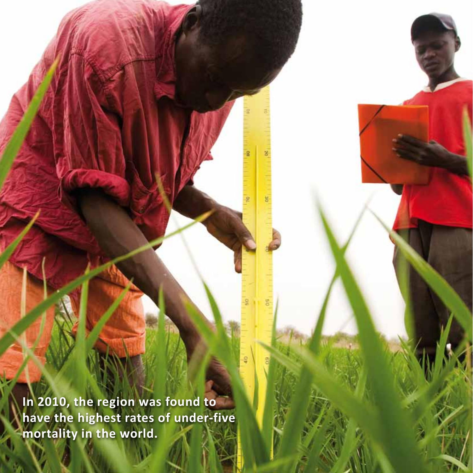**In 2010, the region was found to have the highest rates of under-five mortality in the world.**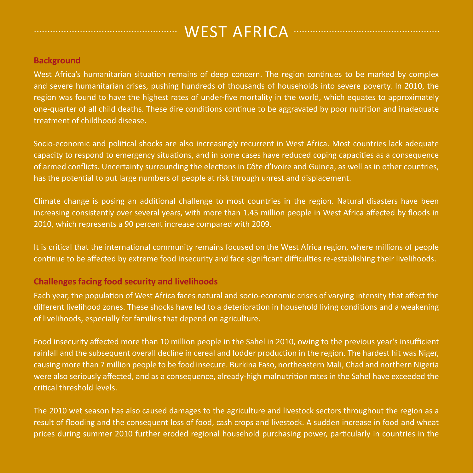# WEST AFRICA

#### **Background**

West Africa's humanitarian situation remains of deep concern. The region continues to be marked by complex and severe humanitarian crises, pushing hundreds of thousands of households into severe poverty. In 2010, the region was found to have the highest rates of under-five mortality in the world, which equates to approximately one-quarter of all child deaths. These dire conditions continue to be aggravated by poor nutrition and inadequate treatment of childhood disease.

Socio-economic and political shocks are also increasingly recurrent in West Africa. Most countries lack adequate capacity to respond to emergency situations, and in some cases have reduced coping capacities as a consequence of armed conflicts. Uncertainty surrounding the elections in Côte d'Ivoire and Guinea, as well as in other countries, has the potential to put large numbers of people at risk through unrest and displacement.

Climate change is posing an additional challenge to most countries in the region. Natural disasters have been increasing consistently over several years, with more than 1.45 million people in West Africa affected by floods in 2010, which represents a 90 percent increase compared with 2009.

It is critical that the international community remains focused on the West Africa region, where millions of people continue to be affected by extreme food insecurity and face significant difficulties re-establishing their livelihoods.

### **Challenges facing food security and livelihoods**

Each year, the population of West Africa faces natural and socio‑economic crises of varying intensity that affect the different livelihood zones. These shocks have led to a deterioration in household living conditions and a weakening of livelihoods, especially for families that depend on agriculture.

Food insecurity affected more than 10 million people in the Sahel in 2010, owing to the previous year's insufficient rainfall and the subsequent overall decline in cereal and fodder production in the region. The hardest hit was Niger, causing more than 7 million people to be food insecure. Burkina Faso, northeastern Mali, Chad and northern Nigeria were also seriously affected, and as a consequence, already-high malnutrition rates in the Sahel have exceeded the critical threshold levels.

The 2010 wet season has also caused damages to the agriculture and livestock sectors throughout the region as a result of flooding and the consequent loss of food, cash crops and livestock. A sudden increase in food and wheat prices during summer 2010 further eroded regional household purchasing power, particularly in countries in the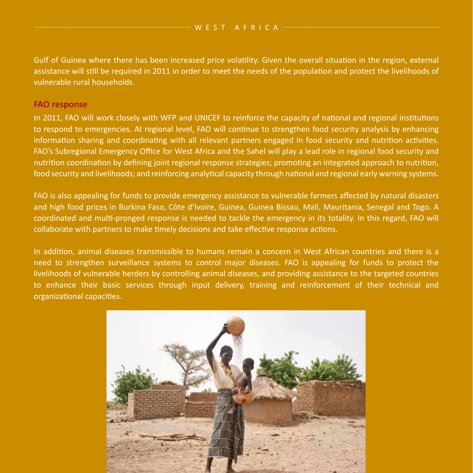Gulf of Guinea where there has been increased price volatility. Given the overall situation in the region, external assistance will still be required in 2011 in order to meet the needs of the population and protect the livelihoods of vulnerable rural households.

#### **FAO response**

In 2011, FAO will work closely with WFP and UNICEF to reinforce the capacity of national and regional institutions to respond to emergencies. At regional level, FAO will continue to strengthen food security analysis by enhancing information sharing and coordinating with all relevant partners engaged in food security and nutrition activities. FAO's Subregional Emergency Office for West Africa and the Sahel will play a lead role in regional food security and nutrition coordination by defining joint regional response strategies; promoting an integrated approach to nutrition, food security and livelihoods; and reinforcing analytical capacity through national and regional early warning systems.

FAO is also appealing for funds to provide emergency assistance to vulnerable farmers affected by natural disasters and high food prices in Burkina Faso, Côte d'Ivoire, Guinea, Guinea Bissau, Mali, Mauritania, Senegal and Togo. A coordinated and multi‑pronged response is needed to tackle the emergency in its totality. In this regard, FAO will collaborate with partners to make timely decisions and take effective response actions.

In addition, animal diseases transmissible to humans remain a concern in West African countries and there is a need to strengthen surveillance systems to control major diseases. FAO is appealing for funds to protect the livelihoods of vulnerable herders by controlling animal diseases, and providing assistance to the targeted countries to enhance their basic services through input delivery, training and reinforcement of their technical and organizational capacities.

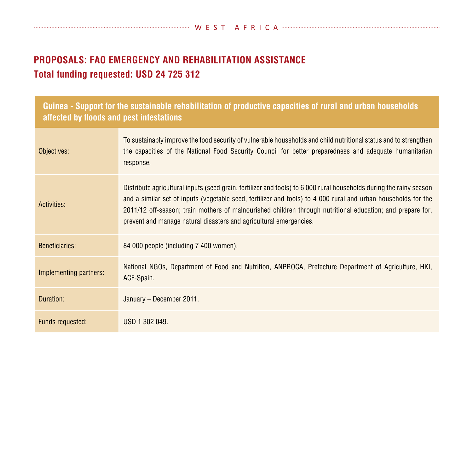## **PROPOSALS: FAO Emergency and Rehabilitation Assistance Total funding requested: USD 24 725 312**

| Guinea - Support for the sustainable rehabilitation of productive capacities of rural and urban households<br>affected by floods and pest infestations |                                                                                                                                                                                                                                                                                                                                                                                                                           |  |
|--------------------------------------------------------------------------------------------------------------------------------------------------------|---------------------------------------------------------------------------------------------------------------------------------------------------------------------------------------------------------------------------------------------------------------------------------------------------------------------------------------------------------------------------------------------------------------------------|--|
| Objectives:                                                                                                                                            | To sustainably improve the food security of vulnerable households and child nutritional status and to strengthen<br>the capacities of the National Food Security Council for better preparedness and adequate humanitarian<br>response.                                                                                                                                                                                   |  |
| Activities:                                                                                                                                            | Distribute agricultural inputs (seed grain, fertilizer and tools) to 6 000 rural households during the rainy season<br>and a similar set of inputs (vegetable seed, fertilizer and tools) to 4 000 rural and urban households for the<br>2011/12 off-season; train mothers of malnourished children through nutritional education; and prepare for,<br>prevent and manage natural disasters and agricultural emergencies. |  |
| <b>Beneficiaries:</b>                                                                                                                                  | 84 000 people (including 7 400 women).                                                                                                                                                                                                                                                                                                                                                                                    |  |
| Implementing partners:                                                                                                                                 | National NGOs, Department of Food and Nutrition, ANPROCA, Prefecture Department of Agriculture, HKI,<br>ACF-Spain.                                                                                                                                                                                                                                                                                                        |  |
| Duration:                                                                                                                                              | January - December 2011.                                                                                                                                                                                                                                                                                                                                                                                                  |  |
| Funds requested:                                                                                                                                       | USD 1 302 049.                                                                                                                                                                                                                                                                                                                                                                                                            |  |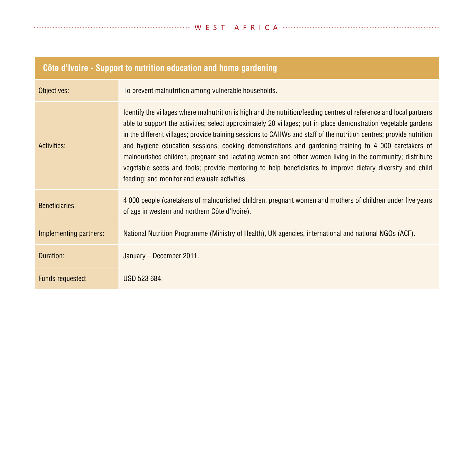# **Côte d'Ivoire - Support to nutrition education and home gardening**

| Objectives:            | To prevent malnutrition among vulnerable households.                                                                                                                                                                                                                                                                                                                                                                                                                                                                                                                                                                                                                                                                                         |
|------------------------|----------------------------------------------------------------------------------------------------------------------------------------------------------------------------------------------------------------------------------------------------------------------------------------------------------------------------------------------------------------------------------------------------------------------------------------------------------------------------------------------------------------------------------------------------------------------------------------------------------------------------------------------------------------------------------------------------------------------------------------------|
| Activities:            | Identify the villages where malnutrition is high and the nutrition/feeding centres of reference and local partners<br>able to support the activities; select approximately 20 villages; put in place demonstration vegetable gardens<br>in the different villages; provide training sessions to CAHWs and staff of the nutrition centres; provide nutrition<br>and hygiene education sessions, cooking demonstrations and gardening training to 4 000 caretakers of<br>malnourished children, pregnant and lactating women and other women living in the community; distribute<br>vegetable seeds and tools; provide mentoring to help beneficiaries to improve dietary diversity and child<br>feeding; and monitor and evaluate activities. |
| <b>Beneficiaries:</b>  | 4 000 people (caretakers of malnourished children, pregnant women and mothers of children under five years<br>of age in western and northern Côte d'Ivoire).                                                                                                                                                                                                                                                                                                                                                                                                                                                                                                                                                                                 |
| Implementing partners: | National Nutrition Programme (Ministry of Health), UN agencies, international and national NGOs (ACF).                                                                                                                                                                                                                                                                                                                                                                                                                                                                                                                                                                                                                                       |
| Duration:              | January - December 2011.                                                                                                                                                                                                                                                                                                                                                                                                                                                                                                                                                                                                                                                                                                                     |
| Funds requested:       | USD 523 684.                                                                                                                                                                                                                                                                                                                                                                                                                                                                                                                                                                                                                                                                                                                                 |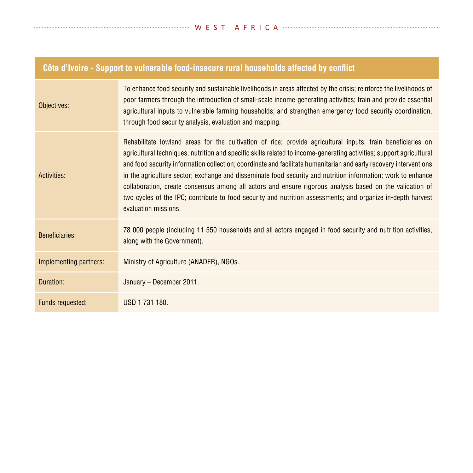| <u>COIC A IVOIIC - SUPPOIL IO VUINCIABIC IOUU-MISCUNG TUIAI NOUSCHOIUS ANGUCU BY CONNIGL</u> |                                                                                                                                                                                                                                                                                                                                                                                                                                                                                                                                                                                                                                                                                                                             |  |
|----------------------------------------------------------------------------------------------|-----------------------------------------------------------------------------------------------------------------------------------------------------------------------------------------------------------------------------------------------------------------------------------------------------------------------------------------------------------------------------------------------------------------------------------------------------------------------------------------------------------------------------------------------------------------------------------------------------------------------------------------------------------------------------------------------------------------------------|--|
| Objectives:                                                                                  | To enhance food security and sustainable livelihoods in areas affected by the crisis; reinforce the livelihoods of<br>poor farmers through the introduction of small-scale income-generating activities; train and provide essential<br>agricultural inputs to vulnerable farming households; and strengthen emergency food security coordination,<br>through food security analysis, evaluation and mapping.                                                                                                                                                                                                                                                                                                               |  |
| Activities:                                                                                  | Rehabilitate lowland areas for the cultivation of rice; provide agricultural inputs; train beneficiaries on<br>agricultural techniques, nutrition and specific skills related to income-generating activities; support agricultural<br>and food security information collection; coordinate and facilitate humanitarian and early recovery interventions<br>in the agriculture sector; exchange and disseminate food security and nutrition information; work to enhance<br>collaboration, create consensus among all actors and ensure rigorous analysis based on the validation of<br>two cycles of the IPC; contribute to food security and nutrition assessments; and organize in-depth harvest<br>evaluation missions. |  |
| <b>Beneficiaries:</b>                                                                        | 78 000 people (including 11 550 households and all actors engaged in food security and nutrition activities,<br>along with the Government).                                                                                                                                                                                                                                                                                                                                                                                                                                                                                                                                                                                 |  |
| Implementing partners:                                                                       | Ministry of Agriculture (ANADER), NGOs.                                                                                                                                                                                                                                                                                                                                                                                                                                                                                                                                                                                                                                                                                     |  |
| Duration:                                                                                    | January - December 2011.                                                                                                                                                                                                                                                                                                                                                                                                                                                                                                                                                                                                                                                                                                    |  |
| Funds requested:                                                                             | USD 1731 180.                                                                                                                                                                                                                                                                                                                                                                                                                                                                                                                                                                                                                                                                                                               |  |

### **Côte d'Ivoire - Support to vulnerable food‑insecure rural households affected by conflict**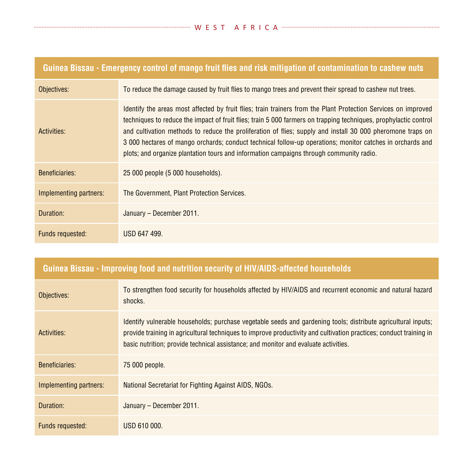| Guinea Bissau - Emergency control of mango fruit flies and risk mitigation of contamination to cashew nuts |                                                                                                                                                                                                                                                                                                                                                                                                                                                                                                                                                          |  |
|------------------------------------------------------------------------------------------------------------|----------------------------------------------------------------------------------------------------------------------------------------------------------------------------------------------------------------------------------------------------------------------------------------------------------------------------------------------------------------------------------------------------------------------------------------------------------------------------------------------------------------------------------------------------------|--|
| Objectives:                                                                                                | To reduce the damage caused by fruit flies to mango trees and prevent their spread to cashew nut trees.                                                                                                                                                                                                                                                                                                                                                                                                                                                  |  |
| Activities:                                                                                                | Identify the areas most affected by fruit flies; train trainers from the Plant Protection Services on improved<br>techniques to reduce the impact of fruit flies; train 5 000 farmers on trapping techniques, prophylactic control<br>and cultivation methods to reduce the proliferation of flies; supply and install 30 000 pheromone traps on<br>3 000 hectares of mango orchards; conduct technical follow-up operations; monitor catches in orchards and<br>plots; and organize plantation tours and information campaigns through community radio. |  |
| Beneficiaries:                                                                                             | 25 000 people (5 000 households).                                                                                                                                                                                                                                                                                                                                                                                                                                                                                                                        |  |
| Implementing partners:                                                                                     | The Government, Plant Protection Services.                                                                                                                                                                                                                                                                                                                                                                                                                                                                                                               |  |
| Duration:                                                                                                  | January – December 2011.                                                                                                                                                                                                                                                                                                                                                                                                                                                                                                                                 |  |
| Funds requested:                                                                                           | USD 647 499.                                                                                                                                                                                                                                                                                                                                                                                                                                                                                                                                             |  |

### **Guinea Bissau ‑ Improving food and nutrition security of HIV/AIDS-affected households**

| Objectives:            | To strengthen food security for households affected by HIV/AIDS and recurrent economic and natural hazard<br>shocks.                                                                                                                                                                                                       |
|------------------------|----------------------------------------------------------------------------------------------------------------------------------------------------------------------------------------------------------------------------------------------------------------------------------------------------------------------------|
| Activities:            | Identify vulnerable households; purchase vegetable seeds and gardening tools; distribute agricultural inputs;<br>provide training in agricultural techniques to improve productivity and cultivation practices; conduct training in<br>basic nutrition; provide technical assistance; and monitor and evaluate activities. |
| <b>Beneficiaries:</b>  | 75 000 people.                                                                                                                                                                                                                                                                                                             |
| Implementing partners: | National Secretariat for Fighting Against AIDS, NGOs.                                                                                                                                                                                                                                                                      |
| Duration:              | January - December 2011.                                                                                                                                                                                                                                                                                                   |
| Funds requested:       | USD 610 000.                                                                                                                                                                                                                                                                                                               |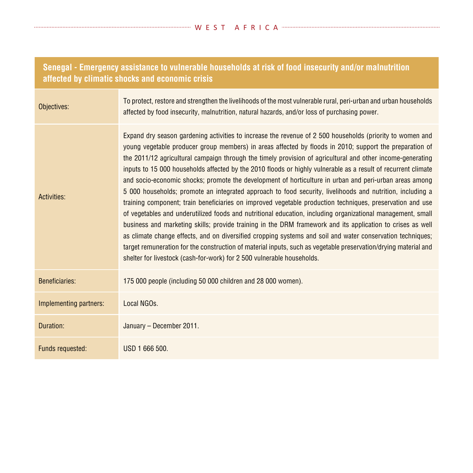| Senegal - Emergency assistance to vulnerable households at risk of food insecurity and/or malnutrition<br>affected by climatic shocks and economic crisis |                                                                                                                                                                                                                                                                                                                                                                                                                                                                                                                                                                                                                                                                                                                                                                                                                                                                                                                                                                                                                                                                                                                                                                                                                                                                                                                                 |
|-----------------------------------------------------------------------------------------------------------------------------------------------------------|---------------------------------------------------------------------------------------------------------------------------------------------------------------------------------------------------------------------------------------------------------------------------------------------------------------------------------------------------------------------------------------------------------------------------------------------------------------------------------------------------------------------------------------------------------------------------------------------------------------------------------------------------------------------------------------------------------------------------------------------------------------------------------------------------------------------------------------------------------------------------------------------------------------------------------------------------------------------------------------------------------------------------------------------------------------------------------------------------------------------------------------------------------------------------------------------------------------------------------------------------------------------------------------------------------------------------------|
| Objectives:                                                                                                                                               | To protect, restore and strengthen the livelihoods of the most vulnerable rural, peri-urban and urban households<br>affected by food insecurity, malnutrition, natural hazards, and/or loss of purchasing power.                                                                                                                                                                                                                                                                                                                                                                                                                                                                                                                                                                                                                                                                                                                                                                                                                                                                                                                                                                                                                                                                                                                |
| Activities:                                                                                                                                               | Expand dry season gardening activities to increase the revenue of 2 500 households (priority to women and<br>young vegetable producer group members) in areas affected by floods in 2010; support the preparation of<br>the 2011/12 agricultural campaign through the timely provision of agricultural and other income-generating<br>inputs to 15 000 households affected by the 2010 floods or highly vulnerable as a result of recurrent climate<br>and socio-economic shocks; promote the development of horticulture in urban and peri-urban areas among<br>5 000 households; promote an integrated approach to food security, livelihoods and nutrition, including a<br>training component; train beneficiaries on improved vegetable production techniques, preservation and use<br>of vegetables and underutilized foods and nutritional education, including organizational management, small<br>business and marketing skills; provide training in the DRM framework and its application to crises as well<br>as climate change effects, and on diversified cropping systems and soil and water conservation techniques;<br>target remuneration for the construction of material inputs, such as vegetable preservation/drying material and<br>shelter for livestock (cash-for-work) for 2 500 vulnerable households. |
| Beneficiaries:                                                                                                                                            | 175 000 people (including 50 000 children and 28 000 women).                                                                                                                                                                                                                                                                                                                                                                                                                                                                                                                                                                                                                                                                                                                                                                                                                                                                                                                                                                                                                                                                                                                                                                                                                                                                    |
| Implementing partners:                                                                                                                                    | Local NGOs.                                                                                                                                                                                                                                                                                                                                                                                                                                                                                                                                                                                                                                                                                                                                                                                                                                                                                                                                                                                                                                                                                                                                                                                                                                                                                                                     |
| Duration:                                                                                                                                                 | January - December 2011.                                                                                                                                                                                                                                                                                                                                                                                                                                                                                                                                                                                                                                                                                                                                                                                                                                                                                                                                                                                                                                                                                                                                                                                                                                                                                                        |
| Funds requested:                                                                                                                                          | USD 1 666 500.                                                                                                                                                                                                                                                                                                                                                                                                                                                                                                                                                                                                                                                                                                                                                                                                                                                                                                                                                                                                                                                                                                                                                                                                                                                                                                                  |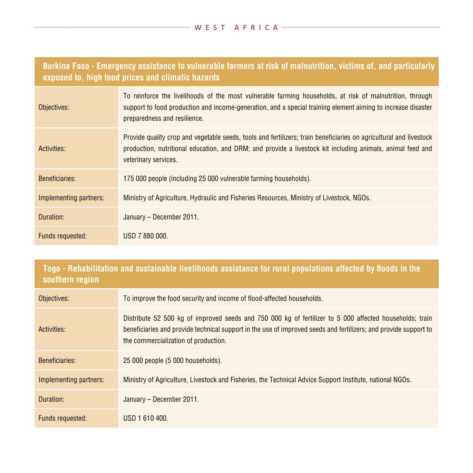| Burkina Faso - Emergency assistance to vulnerable farmers at risk of malnutrition, victims of, and particularly |  |  |
|-----------------------------------------------------------------------------------------------------------------|--|--|
| exposed to, high food prices and climatic hazards                                                               |  |  |

| Objectives:            | To reinforce the livelihoods of the most vulnerable farming households, at risk of malnutrition, through<br>support to food production and income-generation, and a special training element aiming to increase disaster<br>preparedness and resilience. |
|------------------------|----------------------------------------------------------------------------------------------------------------------------------------------------------------------------------------------------------------------------------------------------------|
| Activities:            | Provide quality crop and vegetable seeds, tools and fertilizers; train beneficiaries on agricultural and livestock<br>production, nutritional education, and DRM; and provide a livestock kit including animals, animal feed and<br>veterinary services. |
| <b>Beneficiaries:</b>  | 175 000 people (including 25 000 vulnerable farming households).                                                                                                                                                                                         |
| Implementing partners: | Ministry of Agriculture, Hydraulic and Fisheries Resources, Ministry of Livestock, NGOs.                                                                                                                                                                 |
| Duration:              | January - December 2011.                                                                                                                                                                                                                                 |
| Funds requested:       | USD 7 880 000.                                                                                                                                                                                                                                           |

| Togo - Rehabilitation and sustainable livelihoods assistance for rural populations affected by floods in the<br>southern region |                                                                                                                                                                                                                                                                     |  |
|---------------------------------------------------------------------------------------------------------------------------------|---------------------------------------------------------------------------------------------------------------------------------------------------------------------------------------------------------------------------------------------------------------------|--|
| Objectives:                                                                                                                     | To improve the food security and income of flood-affected households.                                                                                                                                                                                               |  |
| Activities:                                                                                                                     | Distribute 52 500 kg of improved seeds and 750 000 kg of fertilizer to 5 000 affected households; train<br>beneficiaries and provide technical support in the use of improved seeds and fertilizers; and provide support to<br>the commercialization of production. |  |
| <b>Beneficiaries:</b>                                                                                                           | 25 000 people (5 000 households).                                                                                                                                                                                                                                   |  |
| Implementing partners:                                                                                                          | Ministry of Agriculture, Livestock and Fisheries, the Technical Advice Support Institute, national NGOs.                                                                                                                                                            |  |
| Duration:                                                                                                                       | January - December 2011.                                                                                                                                                                                                                                            |  |
| Funds requested:                                                                                                                | USD 1 610 400.                                                                                                                                                                                                                                                      |  |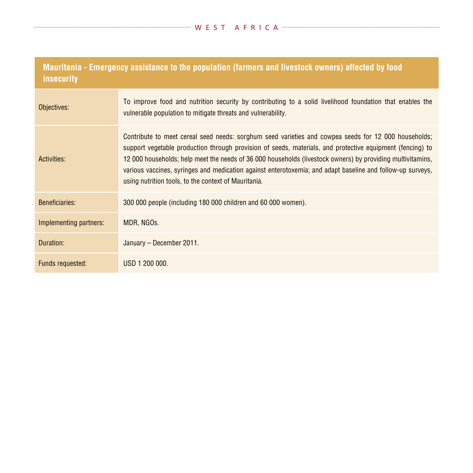| Mauritania - Emergency assistance to the population (farmers and livestock owners) affected by food<br><i>insecurity</i> |                                                                                                                                                                                                                                                                                                                                                                                                                                                                                                       |  |
|--------------------------------------------------------------------------------------------------------------------------|-------------------------------------------------------------------------------------------------------------------------------------------------------------------------------------------------------------------------------------------------------------------------------------------------------------------------------------------------------------------------------------------------------------------------------------------------------------------------------------------------------|--|
| Objectives:                                                                                                              | To improve food and nutrition security by contributing to a solid livelihood foundation that enables the<br>vulnerable population to mitigate threats and vulnerability.                                                                                                                                                                                                                                                                                                                              |  |
| Activities:                                                                                                              | Contribute to meet cereal seed needs: sorghum seed varieties and cowpea seeds for 12 000 households;<br>support vegetable production through provision of seeds, materials, and protective equipment (fencing) to<br>12 000 households; help meet the needs of 36 000 households (livestock owners) by providing multivitamins,<br>various vaccines, syringes and medication against enterotoxemia; and adapt baseline and follow-up surveys,<br>using nutrition tools, to the context of Mauritania. |  |
| <b>Beneficiaries:</b>                                                                                                    | 300 000 people (including 180 000 children and 60 000 women).                                                                                                                                                                                                                                                                                                                                                                                                                                         |  |
| Implementing partners:                                                                                                   | MDR, NGOS.                                                                                                                                                                                                                                                                                                                                                                                                                                                                                            |  |
| Duration:                                                                                                                | January - December 2011.                                                                                                                                                                                                                                                                                                                                                                                                                                                                              |  |
| Funds requested:                                                                                                         | USD 1 200 000.                                                                                                                                                                                                                                                                                                                                                                                                                                                                                        |  |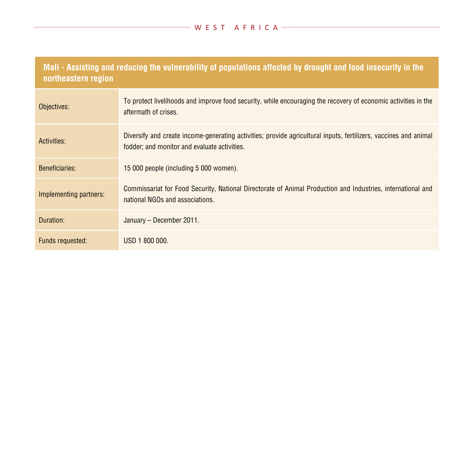| Mali - Assisting and reducing the vulnerability of populations affected by drought and food insecurity in the<br>northeastern region |                                                                                                                                                                  |  |
|--------------------------------------------------------------------------------------------------------------------------------------|------------------------------------------------------------------------------------------------------------------------------------------------------------------|--|
| Objectives:                                                                                                                          | To protect livelihoods and improve food security, while encouraging the recovery of economic activities in the<br>aftermath of crises.                           |  |
| Activities:                                                                                                                          | Diversify and create income-generating activities; provide agricultural inputs, fertilizers, vaccines and animal<br>fodder; and monitor and evaluate activities. |  |
| <b>Beneficiaries:</b>                                                                                                                | 15 000 people (including 5 000 women).                                                                                                                           |  |
| Implementing partners:                                                                                                               | Commissariat for Food Security, National Directorate of Animal Production and Industries, international and<br>national NGOs and associations.                   |  |
| Duration:                                                                                                                            | January – December 2011.                                                                                                                                         |  |
| Funds requested:                                                                                                                     | USD 1 800 000.                                                                                                                                                   |  |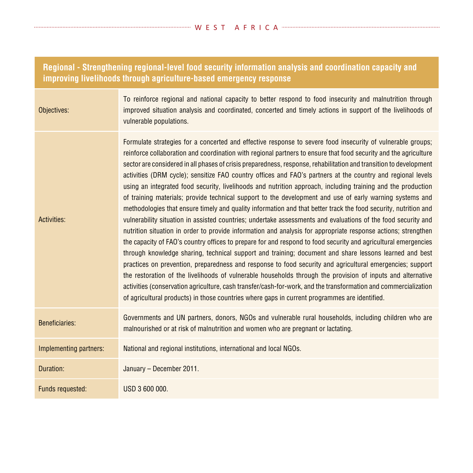### **Regional - Strengthening regional-level food security information analysis and coordination capacity and improving livelihoods through agriculture-based emergency response**

| ives: | To reinforce regional and national capacity to better respond to food insecurity and malnutrition through<br>improved situation analysis and coordinated, concerted and timely actions in support of the livelihoods of<br>vulnerable populations. |
|-------|----------------------------------------------------------------------------------------------------------------------------------------------------------------------------------------------------------------------------------------------------|
|       |                                                                                                                                                                                                                                                    |

Activities: Formulate strategies for a concerted and effective response to severe food insecurity of vulnerable groups; reinforce collaboration and coordination with regional partners to ensure that food security and the agriculture sector are considered in all phases of crisis preparedness, response, rehabilitation and transition to development activities (DRM cycle); sensitize FAO country offices and FAO's partners at the country and regional levels using an integrated food security, livelihoods and nutrition approach, including training and the production of training materials; provide technical support to the development and use of early warning systems and methodologies that ensure timely and quality information and that better track the food security, nutrition and vulnerability situation in assisted countries; undertake assessments and evaluations of the food security and nutrition situation in order to provide information and analysis for appropriate response actions; strengthen the capacity of FAO's country offices to prepare for and respond to food security and agricultural emergencies through knowledge sharing, technical support and training; document and share lessons learned and best practices on prevention, preparedness and response to food security and agricultural emergencies; support the restoration of the livelihoods of vulnerable households through the provision of inputs and alternative activities (conservation agriculture, cash transfer/cash-for-work, and the transformation and commercialization of agricultural products) in those countries where gaps in current programmes are identified.

Beneficiaries: Governments and UN partners, donors, NGOs and vulnerable rural households, including children who are malnourished or at risk of malnutrition and women who are pregnant or lactating.

Implementing partners: National and regional institutions, international and local NGOs.

Object

Duration: January – December 2011. Funds requested: USD 3 600 000.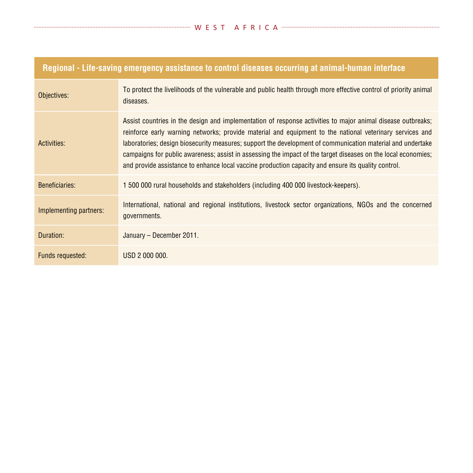| Regional - Life-saving emergency assistance to control diseases occurring at animal-human interface |                                                                                                                                                                                                                                                                                                                                                                                                                                                                                                                                                               |
|-----------------------------------------------------------------------------------------------------|---------------------------------------------------------------------------------------------------------------------------------------------------------------------------------------------------------------------------------------------------------------------------------------------------------------------------------------------------------------------------------------------------------------------------------------------------------------------------------------------------------------------------------------------------------------|
| Objectives:                                                                                         | To protect the livelihoods of the vulnerable and public health through more effective control of priority animal<br>diseases.                                                                                                                                                                                                                                                                                                                                                                                                                                 |
| Activities:                                                                                         | Assist countries in the design and implementation of response activities to major animal disease outbreaks;<br>reinforce early warning networks; provide material and equipment to the national veterinary services and<br>laboratories; design biosecurity measures; support the development of communication material and undertake<br>campaigns for public awareness; assist in assessing the impact of the target diseases on the local economies;<br>and provide assistance to enhance local vaccine production capacity and ensure its quality control. |
| Beneficiaries:                                                                                      | 1500 000 rural households and stakeholders (including 400 000 livestock-keepers).                                                                                                                                                                                                                                                                                                                                                                                                                                                                             |
| Implementing partners:                                                                              | International, national and regional institutions, livestock sector organizations, NGOs and the concerned<br>governments.                                                                                                                                                                                                                                                                                                                                                                                                                                     |
| Duration:                                                                                           | January - December 2011.                                                                                                                                                                                                                                                                                                                                                                                                                                                                                                                                      |
| Funds requested:                                                                                    | USD 2 000 000.                                                                                                                                                                                                                                                                                                                                                                                                                                                                                                                                                |